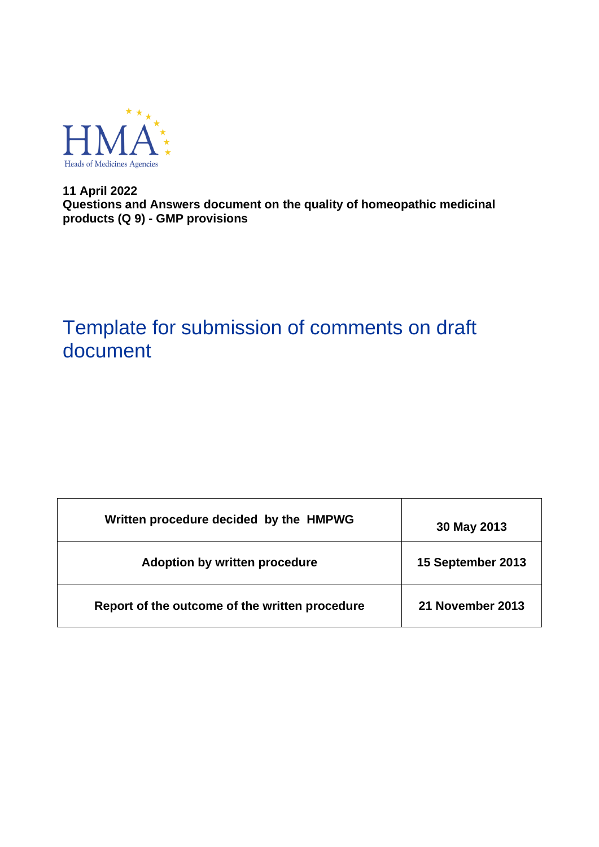

**11 April 2022 Questions and Answers document on the quality of homeopathic medicinal products (Q 9) - GMP provisions**

# Template for submission of comments on draft document

| Written procedure decided by the HMPWG         | 30 May 2013       |
|------------------------------------------------|-------------------|
| Adoption by written procedure                  | 15 September 2013 |
| Report of the outcome of the written procedure | 21 November 2013  |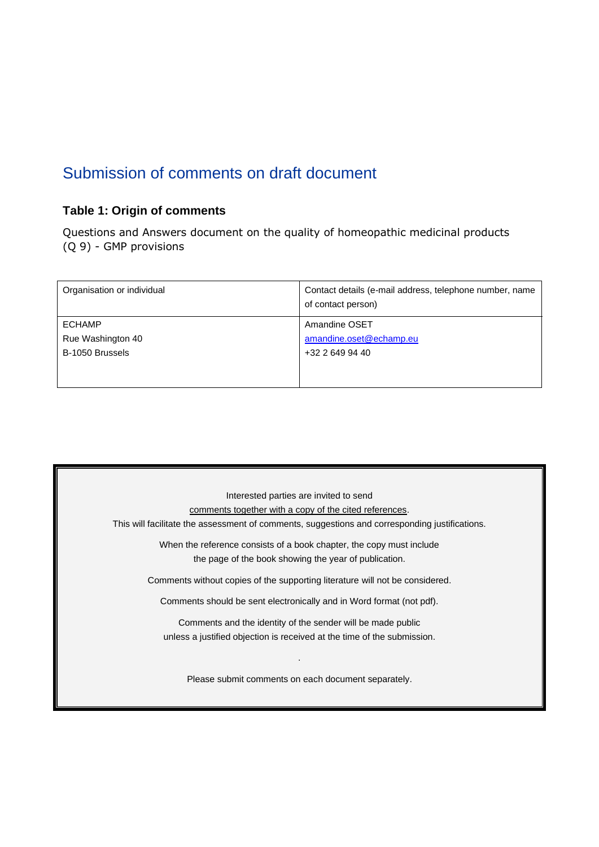## Submission of comments on draft document

## **Table 1: Origin of comments**

Questions and Answers document on the quality of homeopathic medicinal products (Q 9) - GMP provisions

| Organisation or individual | Contact details (e-mail address, telephone number, name<br>of contact person) |
|----------------------------|-------------------------------------------------------------------------------|
| <b>ECHAMP</b>              | Amandine OSET                                                                 |
| Rue Washington 40          | amandine.oset@echamp.eu                                                       |
| B-1050 Brussels            | +32 2 649 94 40                                                               |
|                            |                                                                               |
|                            |                                                                               |

| Interested parties are invited to send                                                         |
|------------------------------------------------------------------------------------------------|
| comments together with a copy of the cited references.                                         |
| This will facilitate the assessment of comments, suggestions and corresponding justifications. |
| When the reference consists of a book chapter, the copy must include                           |
| the page of the book showing the year of publication.                                          |
| Comments without copies of the supporting literature will not be considered.                   |
| Comments should be sent electronically and in Word format (not pdf).                           |
| Comments and the identity of the sender will be made public                                    |
| unless a justified objection is received at the time of the submission.                        |
| Please submit comments on each document separately.                                            |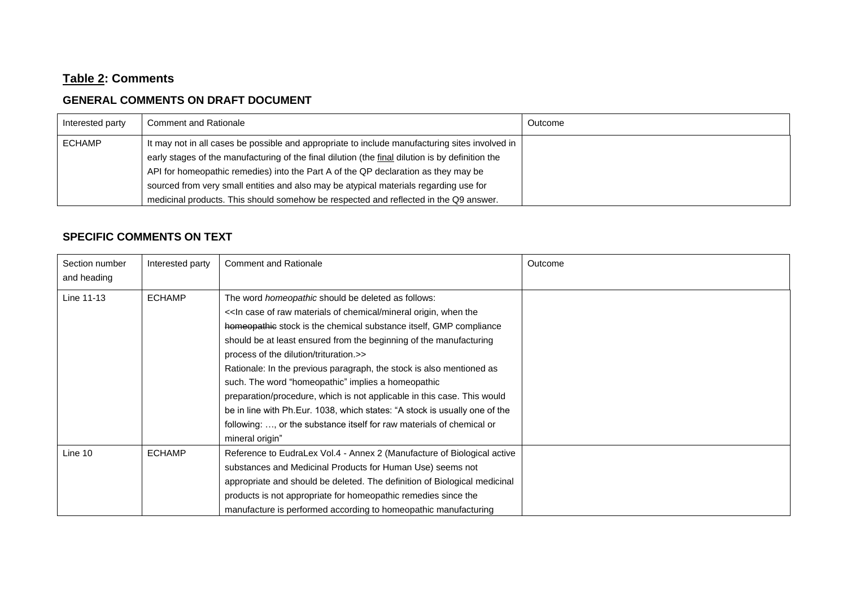### **Table 2: Comments**

### **GENERAL COMMENTS ON DRAFT DOCUMENT**

| Interested party | <b>Comment and Rationale</b>                                                                     | Outcome |
|------------------|--------------------------------------------------------------------------------------------------|---------|
| <b>ECHAMP</b>    | It may not in all cases be possible and appropriate to include manufacturing sites involved in   |         |
|                  | early stages of the manufacturing of the final dilution (the final dilution is by definition the |         |
|                  | API for homeopathic remedies) into the Part A of the QP declaration as they may be               |         |
|                  | sourced from very small entities and also may be atypical materials regarding use for            |         |
|                  | medicinal products. This should somehow be respected and reflected in the Q9 answer.             |         |

#### **SPECIFIC COMMENTS ON TEXT**

| Section number<br>and heading | Interested party | <b>Comment and Rationale</b>                                                                                                                                                                                                                                                                                                                                                                                                                                                                                                                                                                                                                                                                           | Outcome |
|-------------------------------|------------------|--------------------------------------------------------------------------------------------------------------------------------------------------------------------------------------------------------------------------------------------------------------------------------------------------------------------------------------------------------------------------------------------------------------------------------------------------------------------------------------------------------------------------------------------------------------------------------------------------------------------------------------------------------------------------------------------------------|---------|
| Line 11-13                    | <b>ECHAMP</b>    | The word <i>homeopathic</i> should be deleted as follows:<br><< In case of raw materials of chemical/mineral origin, when the<br>homeopathic stock is the chemical substance itself, GMP compliance<br>should be at least ensured from the beginning of the manufacturing<br>process of the dilution/trituration.>><br>Rationale: In the previous paragraph, the stock is also mentioned as<br>such. The word "homeopathic" implies a homeopathic<br>preparation/procedure, which is not applicable in this case. This would<br>be in line with Ph.Eur. 1038, which states: "A stock is usually one of the<br>following: , or the substance itself for raw materials of chemical or<br>mineral origin" |         |
| Line 10                       | <b>ECHAMP</b>    | Reference to EudraLex Vol.4 - Annex 2 (Manufacture of Biological active<br>substances and Medicinal Products for Human Use) seems not<br>appropriate and should be deleted. The definition of Biological medicinal<br>products is not appropriate for homeopathic remedies since the<br>manufacture is performed according to homeopathic manufacturing                                                                                                                                                                                                                                                                                                                                                |         |